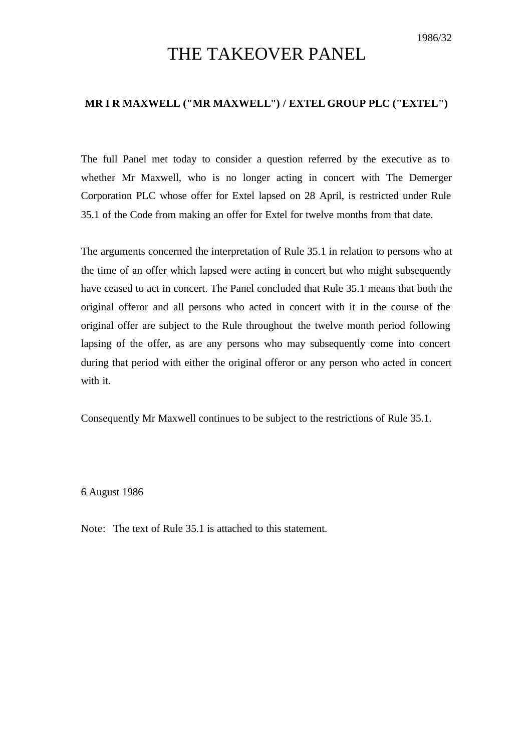## THE TAKEOVER PANEL

## **MR I R MAXWELL ("MR MAXWELL") / EXTEL GROUP PLC ("EXTEL")**

The full Panel met today to consider a question referred by the executive as to whether Mr Maxwell, who is no longer acting in concert with The Demerger Corporation PLC whose offer for Extel lapsed on 28 April, is restricted under Rule 35.1 of the Code from making an offer for Extel for twelve months from that date.

The arguments concerned the interpretation of Rule 35.1 in relation to persons who at the time of an offer which lapsed were acting in concert but who might subsequently have ceased to act in concert. The Panel concluded that Rule 35.1 means that both the original offeror and all persons who acted in concert with it in the course of the original offer are subject to the Rule throughout the twelve month period following lapsing of the offer, as are any persons who may subsequently come into concert during that period with either the original offeror or any person who acted in concert with it.

Consequently Mr Maxwell continues to be subject to the restrictions of Rule 35.1.

6 August 1986

Note: The text of Rule 35.1 is attached to this statement.